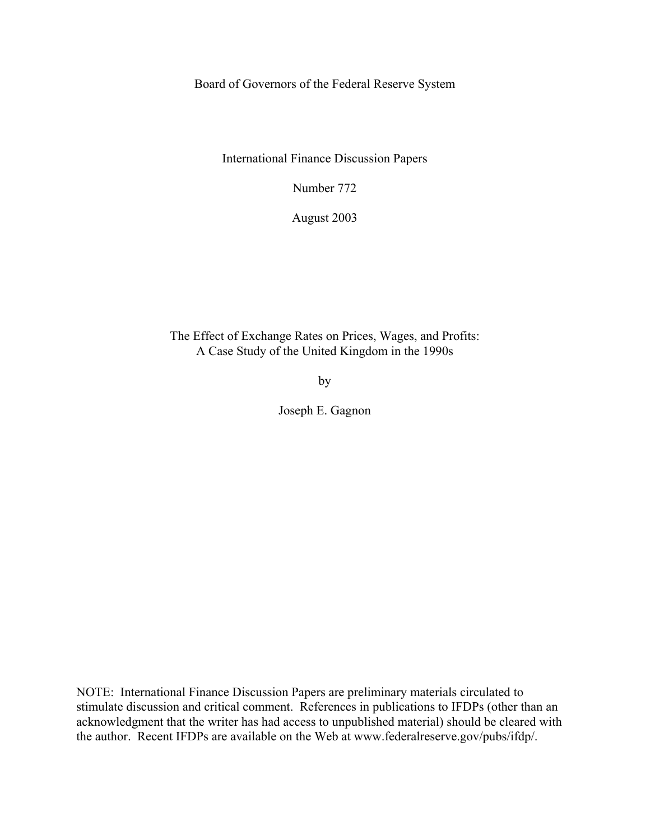Board of Governors of the Federal Reserve System

International Finance Discussion Papers

Number 772

August 2003

## The Effect of Exchange Rates on Prices, Wages, and Profits: A Case Study of the United Kingdom in the 1990s

by

Joseph E. Gagnon

NOTE: International Finance Discussion Papers are preliminary materials circulated to stimulate discussion and critical comment. References in publications to IFDPs (other than an acknowledgment that the writer has had access to unpublished material) should be cleared with the author. Recent IFDPs are available on the Web at www.federalreserve.gov/pubs/ifdp/.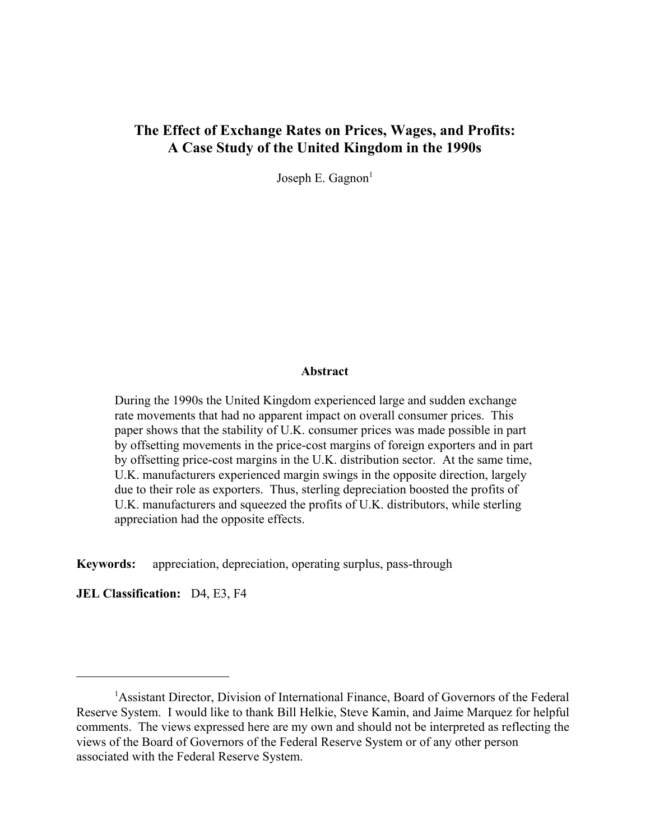# **The Effect of Exchange Rates on Prices, Wages, and Profits: A Case Study of the United Kingdom in the 1990s**

Joseph E. Gagnon $<sup>1</sup>$ </sup>

#### **Abstract**

During the 1990s the United Kingdom experienced large and sudden exchange rate movements that had no apparent impact on overall consumer prices. This paper shows that the stability of U.K. consumer prices was made possible in part by offsetting movements in the price-cost margins of foreign exporters and in part by offsetting price-cost margins in the U.K. distribution sector. At the same time, U.K. manufacturers experienced margin swings in the opposite direction, largely due to their role as exporters. Thus, sterling depreciation boosted the profits of U.K. manufacturers and squeezed the profits of U.K. distributors, while sterling appreciation had the opposite effects.

**Keywords:** appreciation, depreciation, operating surplus, pass-through

**JEL Classification:** D4, E3, F4

<sup>&</sup>lt;sup>1</sup>Assistant Director, Division of International Finance, Board of Governors of the Federal Reserve System. I would like to thank Bill Helkie, Steve Kamin, and Jaime Marquez for helpful comments. The views expressed here are my own and should not be interpreted as reflecting the views of the Board of Governors of the Federal Reserve System or of any other person associated with the Federal Reserve System.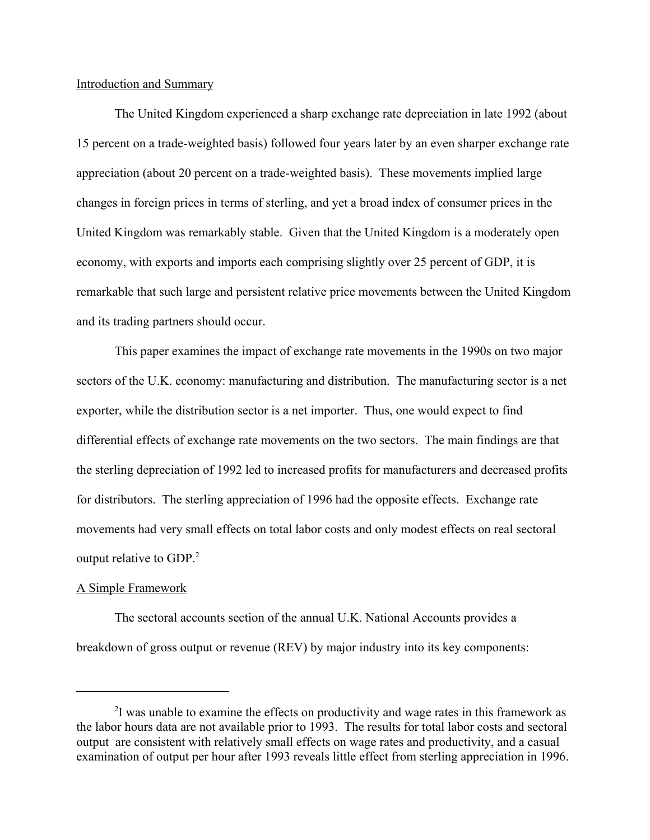#### Introduction and Summary

The United Kingdom experienced a sharp exchange rate depreciation in late 1992 (about 15 percent on a trade-weighted basis) followed four years later by an even sharper exchange rate appreciation (about 20 percent on a trade-weighted basis). These movements implied large changes in foreign prices in terms of sterling, and yet a broad index of consumer prices in the United Kingdom was remarkably stable. Given that the United Kingdom is a moderately open economy, with exports and imports each comprising slightly over 25 percent of GDP, it is remarkable that such large and persistent relative price movements between the United Kingdom and its trading partners should occur.

This paper examines the impact of exchange rate movements in the 1990s on two major sectors of the U.K. economy: manufacturing and distribution. The manufacturing sector is a net exporter, while the distribution sector is a net importer. Thus, one would expect to find differential effects of exchange rate movements on the two sectors. The main findings are that the sterling depreciation of 1992 led to increased profits for manufacturers and decreased profits for distributors. The sterling appreciation of 1996 had the opposite effects. Exchange rate movements had very small effects on total labor costs and only modest effects on real sectoral output relative to GDP.<sup>2</sup>

#### A Simple Framework

The sectoral accounts section of the annual U.K. National Accounts provides a breakdown of gross output or revenue (REV) by major industry into its key components:

<sup>&</sup>lt;sup>2</sup>I was unable to examine the effects on productivity and wage rates in this framework as the labor hours data are not available prior to 1993. The results for total labor costs and sectoral output are consistent with relatively small effects on wage rates and productivity, and a casual examination of output per hour after 1993 reveals little effect from sterling appreciation in 1996.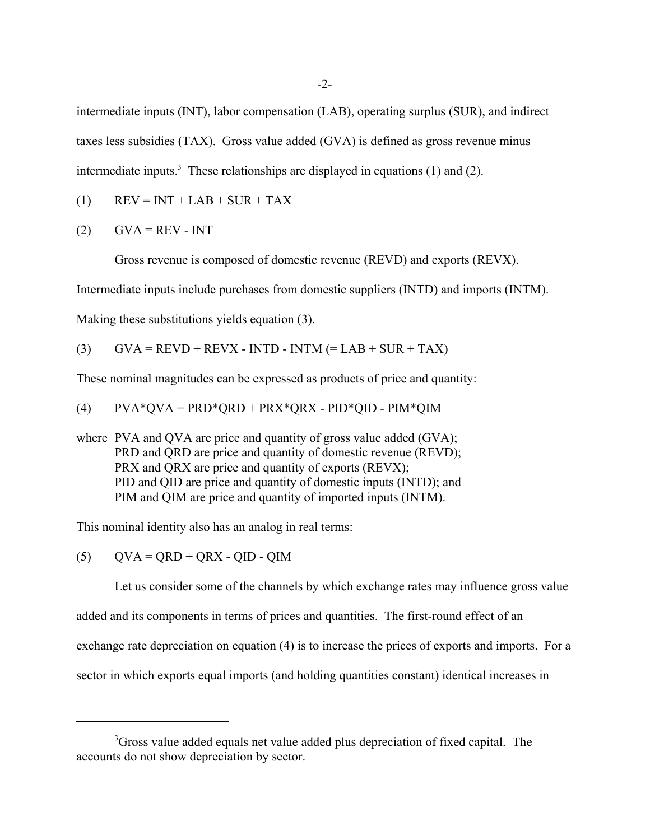intermediate inputs (INT), labor compensation (LAB), operating surplus (SUR), and indirect taxes less subsidies (TAX). Gross value added (GVA) is defined as gross revenue minus intermediate inputs.<sup>3</sup> These relationships are displayed in equations (1) and (2).

$$
(1) \qquad \text{REV} = \text{INT} + \text{LAB} + \text{ SUR} + \text{TAX}
$$

$$
(2) \qquad \text{GVA} = \text{REV} - \text{INT}
$$

Gross revenue is composed of domestic revenue (REVD) and exports (REVX).

Intermediate inputs include purchases from domestic suppliers (INTD) and imports (INTM).

Making these substitutions yields equation (3).

(3)  $GVA = REVD + REVX - INTD - INTM (= LAB + SUR + TAX)$ 

These nominal magnitudes can be expressed as products of price and quantity:

(4)  $PVA*QVA = PRD*QRD + PRX*QRX - PID*QID - PIM*QIM$ 

where PVA and QVA are price and quantity of gross value added (GVA); PRD and QRD are price and quantity of domestic revenue (REVD); PRX and QRX are price and quantity of exports (REVX); PID and QID are price and quantity of domestic inputs (INTD); and PIM and QIM are price and quantity of imported inputs (INTM).

This nominal identity also has an analog in real terms:

 $(Y)$  QVA = QRD + QRX - QID - QIM

Let us consider some of the channels by which exchange rates may influence gross value added and its components in terms of prices and quantities. The first-round effect of an exchange rate depreciation on equation (4) is to increase the prices of exports and imports. For a sector in which exports equal imports (and holding quantities constant) identical increases in

<sup>&</sup>lt;sup>3</sup>Gross value added equals net value added plus depreciation of fixed capital. The accounts do not show depreciation by sector.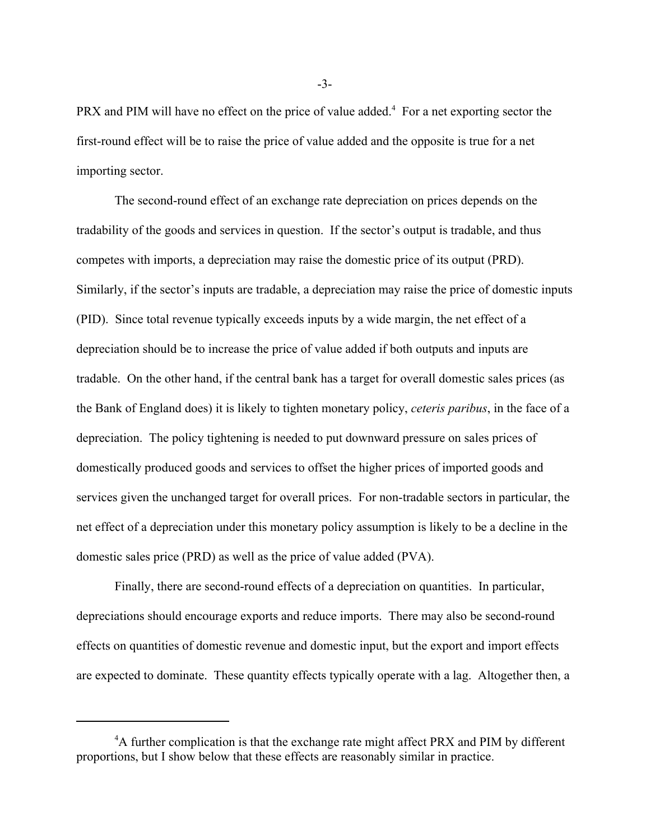PRX and PIM will have no effect on the price of value added.<sup>4</sup> For a net exporting sector the first-round effect will be to raise the price of value added and the opposite is true for a net importing sector.

The second-round effect of an exchange rate depreciation on prices depends on the tradability of the goods and services in question. If the sector's output is tradable, and thus competes with imports, a depreciation may raise the domestic price of its output (PRD). Similarly, if the sector's inputs are tradable, a depreciation may raise the price of domestic inputs (PID). Since total revenue typically exceeds inputs by a wide margin, the net effect of a depreciation should be to increase the price of value added if both outputs and inputs are tradable. On the other hand, if the central bank has a target for overall domestic sales prices (as the Bank of England does) it is likely to tighten monetary policy, *ceteris paribus*, in the face of a depreciation. The policy tightening is needed to put downward pressure on sales prices of domestically produced goods and services to offset the higher prices of imported goods and services given the unchanged target for overall prices. For non-tradable sectors in particular, the net effect of a depreciation under this monetary policy assumption is likely to be a decline in the domestic sales price (PRD) as well as the price of value added (PVA).

Finally, there are second-round effects of a depreciation on quantities. In particular, depreciations should encourage exports and reduce imports. There may also be second-round effects on quantities of domestic revenue and domestic input, but the export and import effects are expected to dominate. These quantity effects typically operate with a lag. Altogether then, a

-3-

<sup>&</sup>lt;sup>4</sup>A further complication is that the exchange rate might affect PRX and PIM by different proportions, but I show below that these effects are reasonably similar in practice.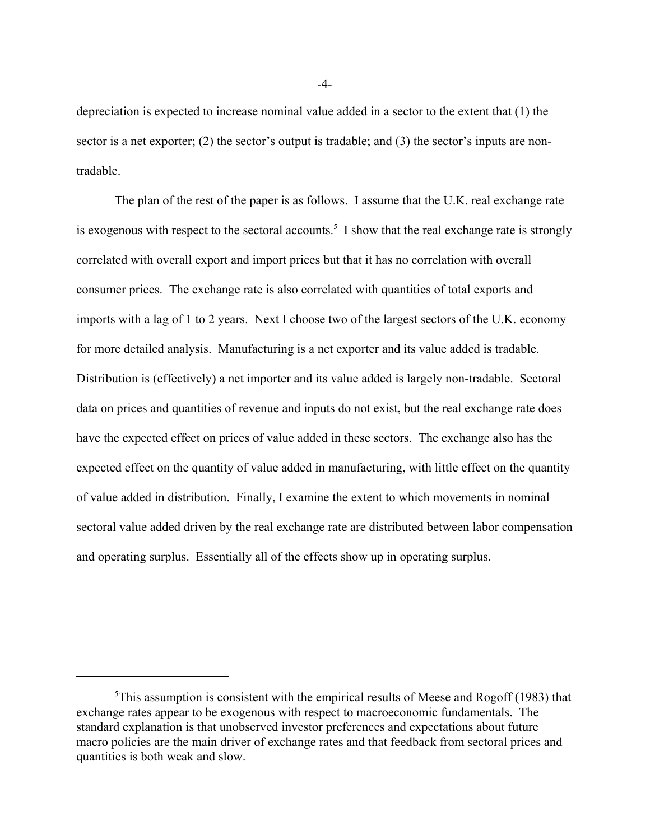depreciation is expected to increase nominal value added in a sector to the extent that (1) the sector is a net exporter; (2) the sector's output is tradable; and (3) the sector's inputs are nontradable.

The plan of the rest of the paper is as follows. I assume that the U.K. real exchange rate is exogenous with respect to the sectoral accounts.<sup>5</sup> I show that the real exchange rate is strongly correlated with overall export and import prices but that it has no correlation with overall consumer prices. The exchange rate is also correlated with quantities of total exports and imports with a lag of 1 to 2 years. Next I choose two of the largest sectors of the U.K. economy for more detailed analysis. Manufacturing is a net exporter and its value added is tradable. Distribution is (effectively) a net importer and its value added is largely non-tradable. Sectoral data on prices and quantities of revenue and inputs do not exist, but the real exchange rate does have the expected effect on prices of value added in these sectors. The exchange also has the expected effect on the quantity of value added in manufacturing, with little effect on the quantity of value added in distribution. Finally, I examine the extent to which movements in nominal sectoral value added driven by the real exchange rate are distributed between labor compensation and operating surplus. Essentially all of the effects show up in operating surplus.

-4-

<sup>&</sup>lt;sup>5</sup>This assumption is consistent with the empirical results of Meese and Rogoff (1983) that exchange rates appear to be exogenous with respect to macroeconomic fundamentals. The standard explanation is that unobserved investor preferences and expectations about future macro policies are the main driver of exchange rates and that feedback from sectoral prices and quantities is both weak and slow.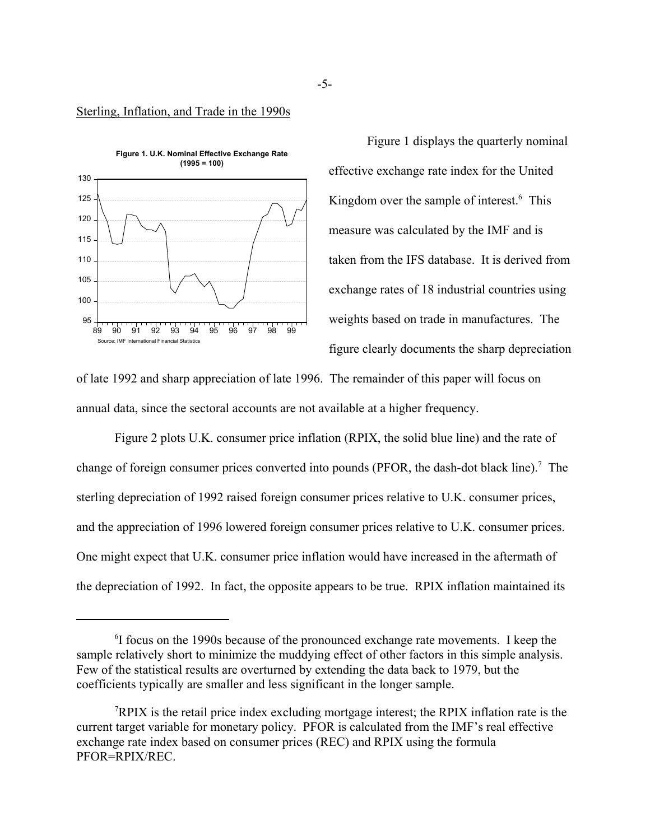### Sterling, Inflation, and Trade in the 1990s



Figure 1 displays the quarterly nominal effective exchange rate index for the United Kingdom over the sample of interest.<sup>6</sup> This measure was calculated by the IMF and is taken from the IFS database. It is derived from exchange rates of 18 industrial countries using weights based on trade in manufactures. The figure clearly documents the sharp depreciation

of late 1992 and sharp appreciation of late 1996. The remainder of this paper will focus on annual data, since the sectoral accounts are not available at a higher frequency.

Figure 2 plots U.K. consumer price inflation (RPIX, the solid blue line) and the rate of change of foreign consumer prices converted into pounds (PFOR, the dash-dot black line).<sup>7</sup> The sterling depreciation of 1992 raised foreign consumer prices relative to U.K. consumer prices, and the appreciation of 1996 lowered foreign consumer prices relative to U.K. consumer prices. One might expect that U.K. consumer price inflation would have increased in the aftermath of the depreciation of 1992. In fact, the opposite appears to be true. RPIX inflation maintained its

<sup>&</sup>lt;sup>6</sup>I focus on the 1990s because of the pronounced exchange rate movements. I keep the sample relatively short to minimize the muddying effect of other factors in this simple analysis. Few of the statistical results are overturned by extending the data back to 1979, but the coefficients typically are smaller and less significant in the longer sample.

<sup>7</sup> RPIX is the retail price index excluding mortgage interest; the RPIX inflation rate is the current target variable for monetary policy. PFOR is calculated from the IMF's real effective exchange rate index based on consumer prices (REC) and RPIX using the formula PFOR=RPIX/REC.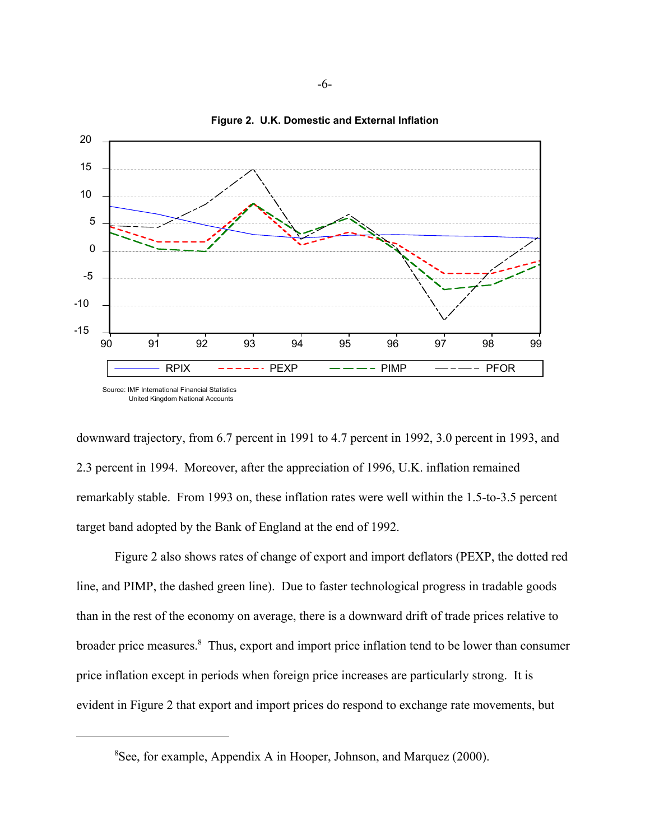



downward trajectory, from 6.7 percent in 1991 to 4.7 percent in 1992, 3.0 percent in 1993, and 2.3 percent in 1994. Moreover, after the appreciation of 1996, U.K. inflation remained remarkably stable. From 1993 on, these inflation rates were well within the 1.5-to-3.5 percent target band adopted by the Bank of England at the end of 1992.

Figure 2 also shows rates of change of export and import deflators (PEXP, the dotted red line, and PIMP, the dashed green line). Due to faster technological progress in tradable goods than in the rest of the economy on average, there is a downward drift of trade prices relative to broader price measures.<sup>8</sup> Thus, export and import price inflation tend to be lower than consumer price inflation except in periods when foreign price increases are particularly strong. It is evident in Figure 2 that export and import prices do respond to exchange rate movements, but

Source: IMF International Financial Statistics United Kingdom National Accounts

<sup>&</sup>lt;sup>8</sup>See, for example, Appendix A in Hooper, Johnson, and Marquez (2000).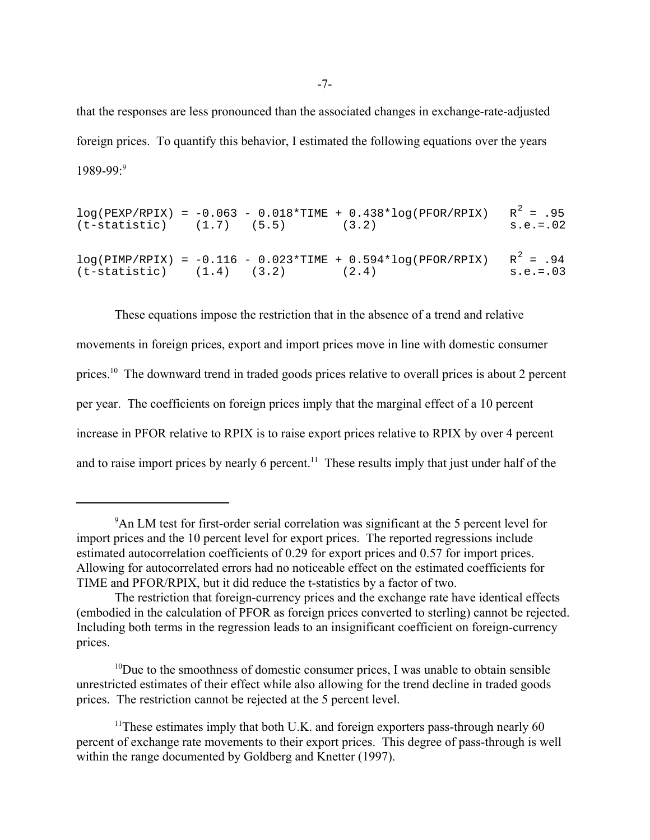that the responses are less pronounced than the associated changes in exchange-rate-adjusted foreign prices. To quantify this behavior, I estimated the following equations over the years 1989-99:9

```
log(PEXP/RPIX) = -0.063 - 0.018*TIME + 0.438*log(PFOR/RPIX) R^2 = .95<br>(t-statistic) (1.7) (5.5) (3.2) s.e.=.02
                                                            R^2 = .95
(t-statistic) (1.7) (5.5) (3.2)log(PIMP/RPIX) = -0.116 - 0.023*TIME + 0.594*log(PFOR/RPIX) R^2 = .94(t-statistic) (1.4) (3.2) (2.4) s.e.=.03
```
These equations impose the restriction that in the absence of a trend and relative movements in foreign prices, export and import prices move in line with domestic consumer prices.<sup>10</sup> The downward trend in traded goods prices relative to overall prices is about 2 percent per year. The coefficients on foreign prices imply that the marginal effect of a 10 percent increase in PFOR relative to RPIX is to raise export prices relative to RPIX by over 4 percent and to raise import prices by nearly 6 percent.<sup>11</sup> These results imply that just under half of the

<sup>&</sup>lt;sup>9</sup>An LM test for first-order serial correlation was significant at the 5 percent level for import prices and the 10 percent level for export prices. The reported regressions include estimated autocorrelation coefficients of 0.29 for export prices and 0.57 for import prices. Allowing for autocorrelated errors had no noticeable effect on the estimated coefficients for TIME and PFOR/RPIX, but it did reduce the t-statistics by a factor of two.

The restriction that foreign-currency prices and the exchange rate have identical effects (embodied in the calculation of PFOR as foreign prices converted to sterling) cannot be rejected. Including both terms in the regression leads to an insignificant coefficient on foreign-currency prices.

<sup>&</sup>lt;sup>10</sup>Due to the smoothness of domestic consumer prices, I was unable to obtain sensible unrestricted estimates of their effect while also allowing for the trend decline in traded goods prices. The restriction cannot be rejected at the 5 percent level.

 $11$ These estimates imply that both U.K. and foreign exporters pass-through nearly 60 percent of exchange rate movements to their export prices. This degree of pass-through is well within the range documented by Goldberg and Knetter (1997).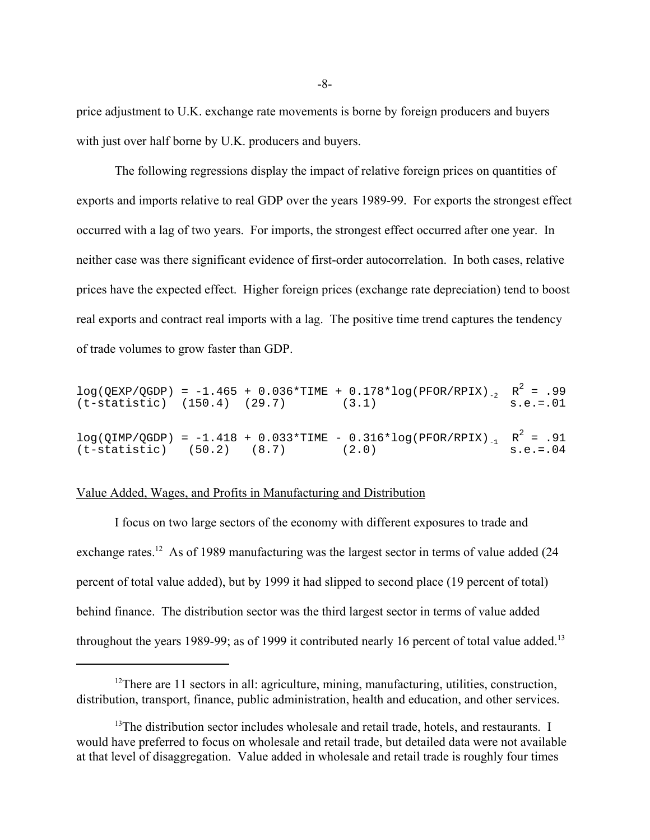price adjustment to U.K. exchange rate movements is borne by foreign producers and buyers with just over half borne by U.K. producers and buyers.

The following regressions display the impact of relative foreign prices on quantities of exports and imports relative to real GDP over the years 1989-99. For exports the strongest effect occurred with a lag of two years. For imports, the strongest effect occurred after one year. In neither case was there significant evidence of first-order autocorrelation. In both cases, relative prices have the expected effect. Higher foreign prices (exchange rate depreciation) tend to boost real exports and contract real imports with a lag. The positive time trend captures the tendency of trade volumes to grow faster than GDP.

 $log(QEXP/QGDP) = -1.465 + 0.036*TIME + 0.178*log(PFOR/RPIX)_{-2} R^2 = .99$  $(t-statistic)$  (150.4) (29.7) (3.1) s.e.=.01  $log(QIMP/QGDP) = -1.418 + 0.033*TIME - 0.316*log(PFOR/RPIX)_{-1} R^2 = .91$  $(t-statistic)$  (50.2) (8.7) (2.0) s.e.=.04

#### Value Added, Wages, and Profits in Manufacturing and Distribution

I focus on two large sectors of the economy with different exposures to trade and exchange rates.<sup>12</sup> As of 1989 manufacturing was the largest sector in terms of value added  $(24)$ percent of total value added), but by 1999 it had slipped to second place (19 percent of total) behind finance. The distribution sector was the third largest sector in terms of value added throughout the years 1989-99; as of 1999 it contributed nearly 16 percent of total value added.<sup>13</sup>

<sup>&</sup>lt;sup>12</sup>There are 11 sectors in all: agriculture, mining, manufacturing, utilities, construction, distribution, transport, finance, public administration, health and education, and other services.

 $<sup>13</sup>$ The distribution sector includes wholesale and retail trade, hotels, and restaurants. I</sup> would have preferred to focus on wholesale and retail trade, but detailed data were not available at that level of disaggregation. Value added in wholesale and retail trade is roughly four times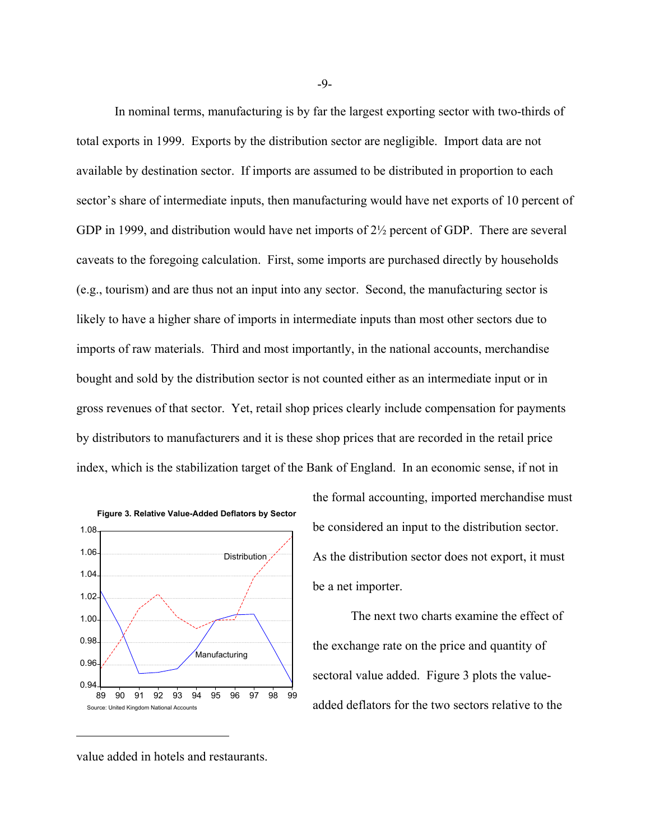In nominal terms, manufacturing is by far the largest exporting sector with two-thirds of total exports in 1999. Exports by the distribution sector are negligible. Import data are not available by destination sector. If imports are assumed to be distributed in proportion to each sector's share of intermediate inputs, then manufacturing would have net exports of 10 percent of GDP in 1999, and distribution would have net imports of  $2\frac{1}{2}$  percent of GDP. There are several caveats to the foregoing calculation. First, some imports are purchased directly by households (e.g., tourism) and are thus not an input into any sector. Second, the manufacturing sector is likely to have a higher share of imports in intermediate inputs than most other sectors due to imports of raw materials. Third and most importantly, in the national accounts, merchandise bought and sold by the distribution sector is not counted either as an intermediate input or in gross revenues of that sector. Yet, retail shop prices clearly include compensation for payments by distributors to manufacturers and it is these shop prices that are recorded in the retail price index, which is the stabilization target of the Bank of England. In an economic sense, if not in



the formal accounting, imported merchandise must be considered an input to the distribution sector. As the distribution sector does not export, it must be a net importer.

The next two charts examine the effect of the exchange rate on the price and quantity of sectoral value added. Figure 3 plots the valueadded deflators for the two sectors relative to the

value added in hotels and restaurants.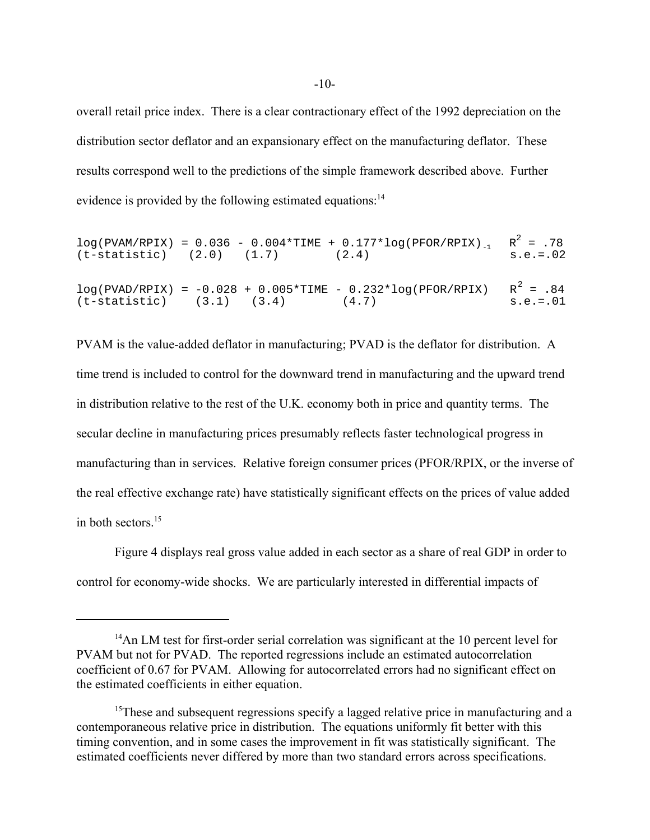overall retail price index. There is a clear contractionary effect of the 1992 depreciation on the distribution sector deflator and an expansionary effect on the manufacturing deflator. These results correspond well to the predictions of the simple framework described above. Further evidence is provided by the following estimated equations:<sup>14</sup>

| $(t-statistic)$ $(2.0)$ $(1.7)$ $(2.4)$ |  | $\log(PVAM/RPIX) = 0.036 - 0.004*TIME + 0.177*log(PFOR/RPIX)$ , $R^2 = .78$ | $s.e. = .02$ |
|-----------------------------------------|--|-----------------------------------------------------------------------------|--------------|
| $(t-statistic)$ $(3.1)$ $(3.4)$ $(4.7)$ |  | $log(PVAD/RPIX) = -0.028 + 0.005*TIME - 0.232*log(PFOR/RPIX)$ $R^2 = .84$   | $s.e. = .01$ |

PVAM is the value-added deflator in manufacturing; PVAD is the deflator for distribution. A time trend is included to control for the downward trend in manufacturing and the upward trend in distribution relative to the rest of the U.K. economy both in price and quantity terms. The secular decline in manufacturing prices presumably reflects faster technological progress in manufacturing than in services. Relative foreign consumer prices (PFOR/RPIX, or the inverse of the real effective exchange rate) have statistically significant effects on the prices of value added in both sectors  $15$ 

Figure 4 displays real gross value added in each sector as a share of real GDP in order to control for economy-wide shocks. We are particularly interested in differential impacts of

<sup>&</sup>lt;sup>14</sup>An LM test for first-order serial correlation was significant at the 10 percent level for PVAM but not for PVAD. The reported regressions include an estimated autocorrelation coefficient of 0.67 for PVAM. Allowing for autocorrelated errors had no significant effect on the estimated coefficients in either equation.

<sup>&</sup>lt;sup>15</sup>These and subsequent regressions specify a lagged relative price in manufacturing and a contemporaneous relative price in distribution. The equations uniformly fit better with this timing convention, and in some cases the improvement in fit was statistically significant. The estimated coefficients never differed by more than two standard errors across specifications.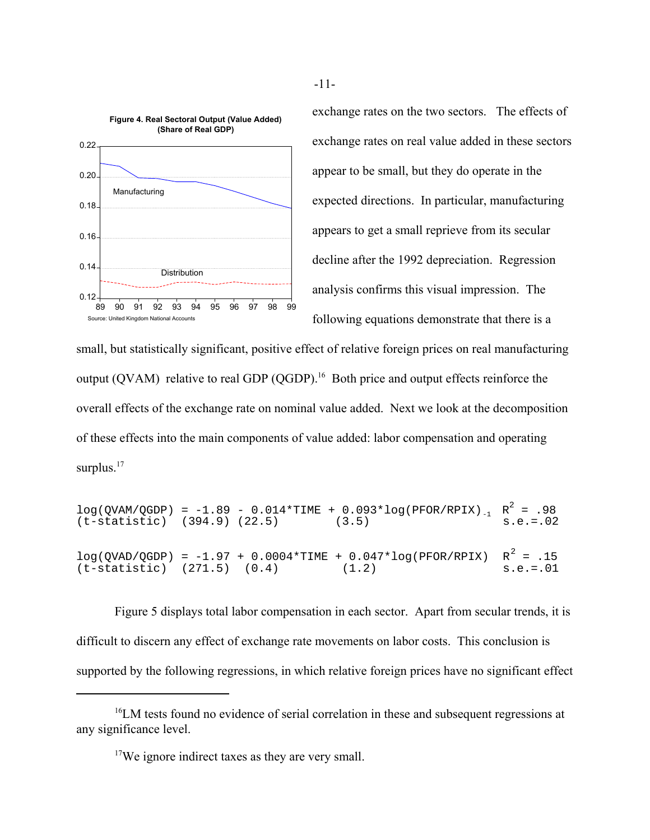

exchange rates on the two sectors. The effects of exchange rates on real value added in these sectors appear to be small, but they do operate in the expected directions. In particular, manufacturing appears to get a small reprieve from its secular decline after the 1992 depreciation. Regression analysis confirms this visual impression. The following equations demonstrate that there is a

small, but statistically significant, positive effect of relative foreign prices on real manufacturing output (QVAM) relative to real GDP (QGDP).<sup>16</sup> Both price and output effects reinforce the overall effects of the exchange rate on nominal value added. Next we look at the decomposition of these effects into the main components of value added: labor compensation and operating surplus. $17$ 

| $(t-statistic)$ (394.9) (22.5) (3.5)      |  | $\log$ (QVAM/QGDP) = -1.89 - 0.014*TIME + 0.093*log(PFOR/RPIX) <sub>-1</sub> R <sup>2</sup> = .98 | $s.e.=.02$   |
|-------------------------------------------|--|---------------------------------------------------------------------------------------------------|--------------|
| $(t-statistic)$ $(271.5)$ $(0.4)$ $(1.2)$ |  | $log(QVAD/QGDP) = -1.97 + 0.0004*TIME + 0.047*log(PFOR/RPIX)$ $R^2 = .15$                         | $s.e. = .01$ |

Figure 5 displays total labor compensation in each sector. Apart from secular trends, it is difficult to discern any effect of exchange rate movements on labor costs. This conclusion is supported by the following regressions, in which relative foreign prices have no significant effect

-11-

<sup>&</sup>lt;sup>16</sup>LM tests found no evidence of serial correlation in these and subsequent regressions at any significance level.

<sup>&</sup>lt;sup>17</sup>We ignore indirect taxes as they are very small.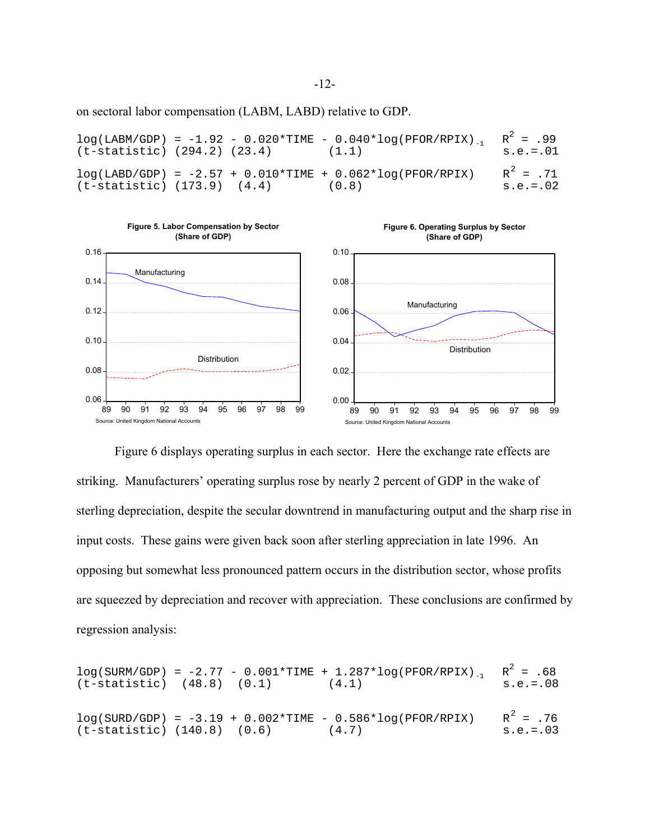on sectoral labor compensation (LABM, LABD) relative to GDP.

| $(t - statistic)$ $(294.2)$ $(23.4)$ |  | $log(LABM/GDP) = -1.92 - 0.020*TIME - 0.040*log(PFOR/RPIX)$ <sub>1</sub> $R^2 = .99$<br>(1.1) | $s.e.=.01$                  |
|--------------------------------------|--|-----------------------------------------------------------------------------------------------|-----------------------------|
| $(t-statistic)$ $(173.9)$ $(4.4)$    |  | $log(LABD/GDP) = -2.57 + 0.010*TIME + 0.062*log(PFOR/RPIX)$<br>(0.8)                          | $R^2 = .71$<br>$s.e. = .02$ |



Figure 6 displays operating surplus in each sector. Here the exchange rate effects are striking. Manufacturers' operating surplus rose by nearly 2 percent of GDP in the wake of sterling depreciation, despite the secular downtrend in manufacturing output and the sharp rise in input costs. These gains were given back soon after sterling appreciation in late 1996. An opposing but somewhat less pronounced pattern occurs in the distribution sector, whose profits are squeezed by depreciation and recover with appreciation. These conclusions are confirmed by regression analysis:

 $log(SURM/GDP) = -2.77 - 0.001*TIME + 1.287*log(PFOR/RPIX)_{-1}$   $R^2 = .68$ <br>(t-statistic) (48.8) (0.1) (4.1) s.e.=.08  $R^2$  = .68  $(48.8) (0.1)$  $log(SURD/GDP) = -3.19 + 0.002*TIME - 0.586*log(PFOR/RPIX)$  $R^2$  = .76 (t-statistic) (140.8) (0.6) (4.7) s.e.=.03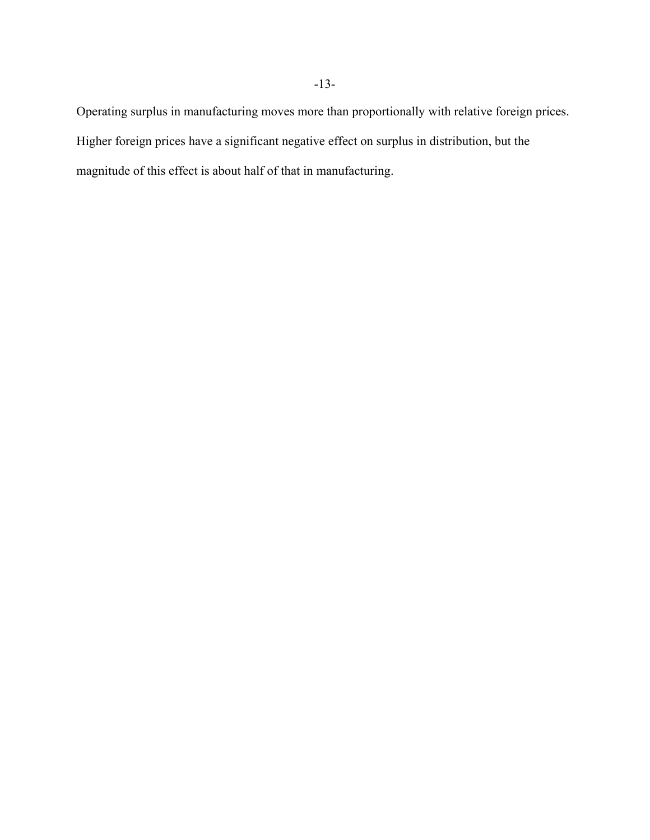Operating surplus in manufacturing moves more than proportionally with relative foreign prices. Higher foreign prices have a significant negative effect on surplus in distribution, but the magnitude of this effect is about half of that in manufacturing.